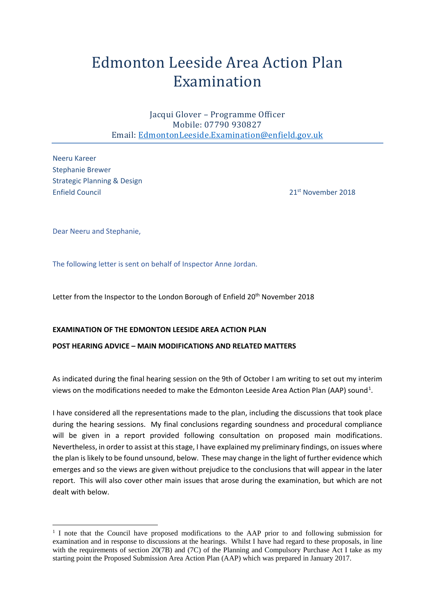# Edmonton Leeside Area Action Plan Examination

Jacqui Glover – Programme Officer Mobile: 07790 930827 Email: [EdmontonLeeside.Examination@enfield.gov.uk](mailto:EdmontonLeeside.Examination@enfield.gov.uk)

Neeru Kareer Stephanie Brewer Strategic Planning & Design Enfield Council 21st November 2018

Dear Neeru and Stephanie,

 $\overline{a}$ 

The following letter is sent on behalf of Inspector Anne Jordan.

Letter from the Inspector to the London Borough of Enfield 20<sup>th</sup> November 2018

#### **EXAMINATION OF THE EDMONTON LEESIDE AREA ACTION PLAN**

#### **POST HEARING ADVICE – MAIN MODIFICATIONS AND RELATED MATTERS**

As indicated during the final hearing session on the 9th of October I am writing to set out my interim views on the modifications needed to make the Edmonton Leeside Area Action Plan (AAP) sound<sup>[1](#page-0-0)</sup>.

I have considered all the representations made to the plan, including the discussions that took place during the hearing sessions. My final conclusions regarding soundness and procedural compliance will be given in a report provided following consultation on proposed main modifications. Nevertheless, in order to assist at this stage, I have explained my preliminary findings, on issues where the plan is likely to be found unsound, below. These may change in the light of further evidence which emerges and so the views are given without prejudice to the conclusions that will appear in the later report. This will also cover other main issues that arose during the examination, but which are not dealt with below.

<span id="page-0-0"></span><sup>&</sup>lt;sup>1</sup> I note that the Council have proposed modifications to the AAP prior to and following submission for examination and in response to discussions at the hearings. Whilst I have had regard to these proposals, in line with the requirements of section 20(7B) and (7C) of the Planning and Compulsory Purchase Act I take as my starting point the Proposed Submission Area Action Plan (AAP) which was prepared in January 2017.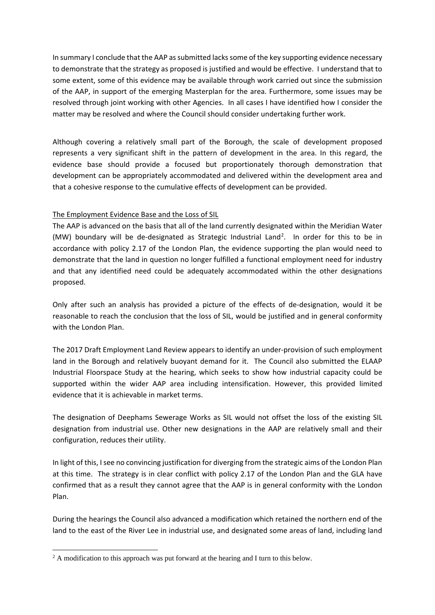In summary I conclude that the AAP as submitted lacks some of the key supporting evidence necessary to demonstrate that the strategy as proposed is justified and would be effective. I understand that to some extent, some of this evidence may be available through work carried out since the submission of the AAP, in support of the emerging Masterplan for the area. Furthermore, some issues may be resolved through joint working with other Agencies. In all cases I have identified how I consider the matter may be resolved and where the Council should consider undertaking further work.

Although covering a relatively small part of the Borough, the scale of development proposed represents a very significant shift in the pattern of development in the area. In this regard, the evidence base should provide a focused but proportionately thorough demonstration that development can be appropriately accommodated and delivered within the development area and that a cohesive response to the cumulative effects of development can be provided.

# The Employment Evidence Base and the Loss of SIL

The AAP is advanced on the basis that all of the land currently designated within the Meridian Water (MW) boundary will be de-designated as Strategic Industrial Land<sup>[2](#page-1-0)</sup>. In order for this to be in accordance with policy 2.17 of the London Plan, the evidence supporting the plan would need to demonstrate that the land in question no longer fulfilled a functional employment need for industry and that any identified need could be adequately accommodated within the other designations proposed.

Only after such an analysis has provided a picture of the effects of de-designation, would it be reasonable to reach the conclusion that the loss of SIL, would be justified and in general conformity with the London Plan.

The 2017 Draft Employment Land Review appears to identify an under-provision of such employment land in the Borough and relatively buoyant demand for it. The Council also submitted the ELAAP Industrial Floorspace Study at the hearing, which seeks to show how industrial capacity could be supported within the wider AAP area including intensification. However, this provided limited evidence that it is achievable in market terms.

The designation of Deephams Sewerage Works as SIL would not offset the loss of the existing SIL designation from industrial use. Other new designations in the AAP are relatively small and their configuration, reduces their utility.

In light of this, I see no convincing justification for diverging from the strategic aims of the London Plan at this time. The strategy is in clear conflict with policy 2.17 of the London Plan and the GLA have confirmed that as a result they cannot agree that the AAP is in general conformity with the London Plan.

During the hearings the Council also advanced a modification which retained the northern end of the land to the east of the River Lee in industrial use, and designated some areas of land, including land

 $\overline{a}$ 

<span id="page-1-0"></span><sup>&</sup>lt;sup>2</sup> A modification to this approach was put forward at the hearing and I turn to this below.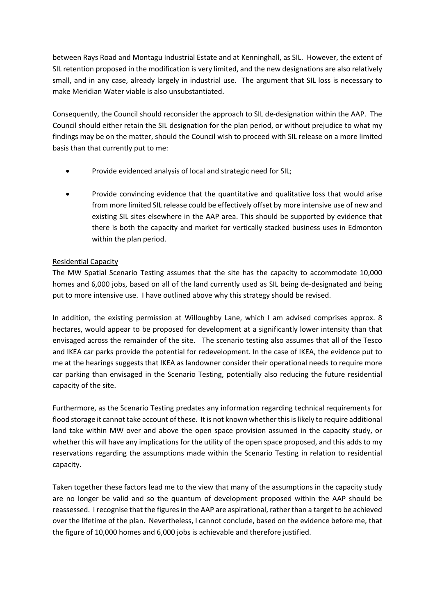between Rays Road and Montagu Industrial Estate and at Kenninghall, as SIL. However, the extent of SIL retention proposed in the modification is very limited, and the new designations are also relatively small, and in any case, already largely in industrial use. The argument that SIL loss is necessary to make Meridian Water viable is also unsubstantiated.

Consequently, the Council should reconsider the approach to SIL de-designation within the AAP. The Council should either retain the SIL designation for the plan period, or without prejudice to what my findings may be on the matter, should the Council wish to proceed with SIL release on a more limited basis than that currently put to me:

- Provide evidenced analysis of local and strategic need for SIL;
- Provide convincing evidence that the quantitative and qualitative loss that would arise from more limited SIL release could be effectively offset by more intensive use of new and existing SIL sites elsewhere in the AAP area. This should be supported by evidence that there is both the capacity and market for vertically stacked business uses in Edmonton within the plan period.

# Residential Capacity

The MW Spatial Scenario Testing assumes that the site has the capacity to accommodate 10,000 homes and 6,000 jobs, based on all of the land currently used as SIL being de-designated and being put to more intensive use. I have outlined above why this strategy should be revised.

In addition, the existing permission at Willoughby Lane, which I am advised comprises approx. 8 hectares, would appear to be proposed for development at a significantly lower intensity than that envisaged across the remainder of the site. The scenario testing also assumes that all of the Tesco and IKEA car parks provide the potential for redevelopment. In the case of IKEA, the evidence put to me at the hearings suggests that IKEA as landowner consider their operational needs to require more car parking than envisaged in the Scenario Testing, potentially also reducing the future residential capacity of the site.

Furthermore, as the Scenario Testing predates any information regarding technical requirements for flood storage it cannot take account of these. It is not known whether this is likely to require additional land take within MW over and above the open space provision assumed in the capacity study, or whether this will have any implications for the utility of the open space proposed, and this adds to my reservations regarding the assumptions made within the Scenario Testing in relation to residential capacity.

Taken together these factors lead me to the view that many of the assumptions in the capacity study are no longer be valid and so the quantum of development proposed within the AAP should be reassessed. I recognise that the figures in the AAP are aspirational, rather than a target to be achieved over the lifetime of the plan. Nevertheless, I cannot conclude, based on the evidence before me, that the figure of 10,000 homes and 6,000 jobs is achievable and therefore justified.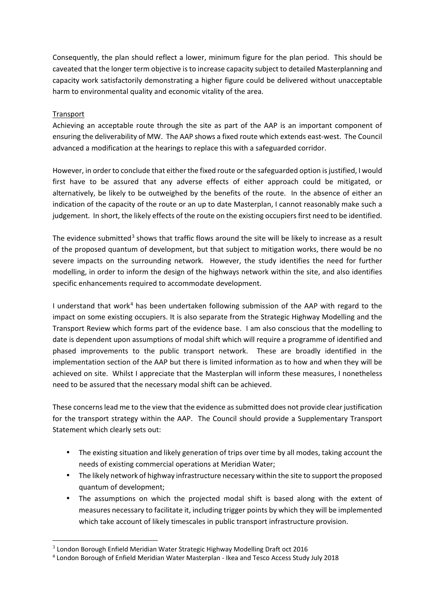Consequently, the plan should reflect a lower, minimum figure for the plan period. This should be caveated that the longer term objective is to increase capacity subject to detailed Masterplanning and capacity work satisfactorily demonstrating a higher figure could be delivered without unacceptable harm to environmental quality and economic vitality of the area.

# Transport

<u>.</u>

Achieving an acceptable route through the site as part of the AAP is an important component of ensuring the deliverability of MW. The AAP shows a fixed route which extends east-west. The Council advanced a modification at the hearings to replace this with a safeguarded corridor.

However, in order to conclude that either the fixed route or the safeguarded option is justified, I would first have to be assured that any adverse effects of either approach could be mitigated, or alternatively, be likely to be outweighed by the benefits of the route. In the absence of either an indication of the capacity of the route or an up to date Masterplan, I cannot reasonably make such a judgement. In short, the likely effects of the route on the existing occupiers first need to be identified.

The evidence submitted<sup>[3](#page-3-0)</sup> shows that traffic flows around the site will be likely to increase as a result of the proposed quantum of development, but that subject to mitigation works, there would be no severe impacts on the surrounding network. However, the study identifies the need for further modelling, in order to inform the design of the highways network within the site, and also identifies specific enhancements required to accommodate development.

I understand that work<sup>[4](#page-3-1)</sup> has been undertaken following submission of the AAP with regard to the impact on some existing occupiers. It is also separate from the Strategic Highway Modelling and the Transport Review which forms part of the evidence base. I am also conscious that the modelling to date is dependent upon assumptions of modal shift which will require a programme of identified and phased improvements to the public transport network. These are broadly identified in the implementation section of the AAP but there is limited information as to how and when they will be achieved on site. Whilst I appreciate that the Masterplan will inform these measures, I nonetheless need to be assured that the necessary modal shift can be achieved.

These concerns lead me to the view that the evidence as submitted does not provide clear justification for the transport strategy within the AAP. The Council should provide a Supplementary Transport Statement which clearly sets out:

- The existing situation and likely generation of trips over time by all modes, taking account the needs of existing commercial operations at Meridian Water;
- The likely network of highway infrastructure necessary within the site to support the proposed quantum of development;
- The assumptions on which the projected modal shift is based along with the extent of measures necessary to facilitate it, including trigger points by which they will be implemented which take account of likely timescales in public transport infrastructure provision.

<span id="page-3-0"></span> $3$  London Borough Enfield Meridian Water Strategic Highway Modelling Draft oct 2016

<span id="page-3-1"></span><sup>4</sup> London Borough of Enfield Meridian Water Masterplan - Ikea and Tesco Access Study July 2018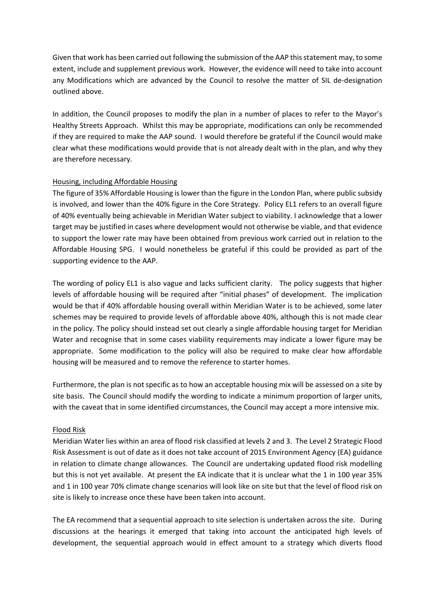Given that work has been carried out following the submission of the AAP this statement may, to some extent, include and supplement previous work. However, the evidence will need to take into account any Modifications which are advanced by the Council to resolve the matter of SIL de-designation outlined above.

In addition, the Council proposes to modify the plan in a number of places to refer to the Mayor's Healthy Streets Approach. Whilst this may be appropriate, modifications can only be recommended if they are required to make the AAP sound. I would therefore be grateful if the Council would make clear what these modifications would provide that is not already dealt with in the plan, and why they are therefore necessary.

# Housing, including Affordable Housing

The figure of 35% Affordable Housing is lower than the figure in the London Plan, where public subsidy is involved, and lower than the 40% figure in the Core Strategy. Policy EL1 refers to an overall figure of 40% eventually being achievable in Meridian Water subject to viability. I acknowledge that a lower target may be justified in cases where development would not otherwise be viable, and that evidence to support the lower rate may have been obtained from previous work carried out in relation to the Affordable Housing SPG. I would nonetheless be grateful if this could be provided as part of the supporting evidence to the AAP.

The wording of policy EL1 is also vague and lacks sufficient clarity. The policy suggests that higher levels of affordable housing will be required after "initial phases" of development. The implication would be that if 40% affordable housing overall within Meridian Water is to be achieved, some later schemes may be required to provide levels of affordable above 40%, although this is not made clear in the policy. The policy should instead set out clearly a single affordable housing target for Meridian Water and recognise that in some cases viability requirements may indicate a lower figure may be appropriate. Some modification to the policy will also be required to make clear how affordable housing will be measured and to remove the reference to starter homes.

Furthermore, the plan is not specific as to how an acceptable housing mix will be assessed on a site by site basis. The Council should modify the wording to indicate a minimum proportion of larger units, with the caveat that in some identified circumstances, the Council may accept a more intensive mix.

#### Flood Risk

Meridian Water lies within an area of flood risk classified at levels 2 and 3. The Level 2 Strategic Flood Risk Assessment is out of date as it does not take account of 2015 Environment Agency (EA) guidance in relation to climate change allowances. The Council are undertaking updated flood risk modelling but this is not yet available. At present the EA indicate that it is unclear what the 1 in 100 year 35% and 1 in 100 year 70% climate change scenarios will look like on site but that the level of flood risk on site is likely to increase once these have been taken into account.

The EA recommend that a sequential approach to site selection is undertaken across the site. During discussions at the hearings it emerged that taking into account the anticipated high levels of development, the sequential approach would in effect amount to a strategy which diverts flood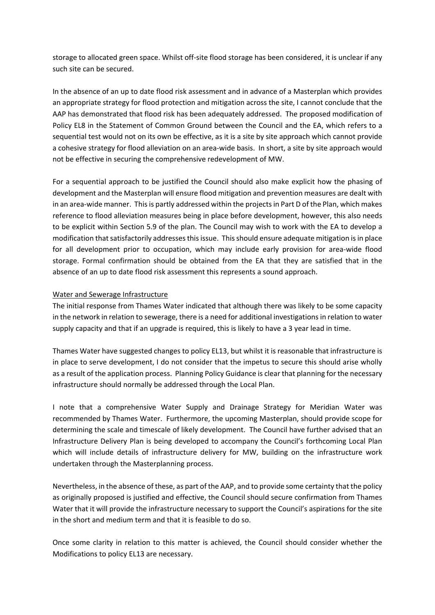storage to allocated green space. Whilst off-site flood storage has been considered, it is unclear if any such site can be secured.

In the absence of an up to date flood risk assessment and in advance of a Masterplan which provides an appropriate strategy for flood protection and mitigation across the site, I cannot conclude that the AAP has demonstrated that flood risk has been adequately addressed. The proposed modification of Policy EL8 in the Statement of Common Ground between the Council and the EA, which refers to a sequential test would not on its own be effective, as it is a site by site approach which cannot provide a cohesive strategy for flood alleviation on an area-wide basis. In short, a site by site approach would not be effective in securing the comprehensive redevelopment of MW.

For a sequential approach to be justified the Council should also make explicit how the phasing of development and the Masterplan will ensure flood mitigation and prevention measures are dealt with in an area-wide manner. This is partly addressed within the projects in Part D of the Plan, which makes reference to flood alleviation measures being in place before development, however, this also needs to be explicit within Section 5.9 of the plan. The Council may wish to work with the EA to develop a modification that satisfactorily addresses this issue. This should ensure adequate mitigation is in place for all development prior to occupation, which may include early provision for area-wide flood storage. Formal confirmation should be obtained from the EA that they are satisfied that in the absence of an up to date flood risk assessment this represents a sound approach.

# Water and Sewerage Infrastructure

The initial response from Thames Water indicated that although there was likely to be some capacity in the network in relation to sewerage, there is a need for additional investigations in relation to water supply capacity and that if an upgrade is required, this is likely to have a 3 year lead in time.

Thames Water have suggested changes to policy EL13, but whilst it is reasonable that infrastructure is in place to serve development, I do not consider that the impetus to secure this should arise wholly as a result of the application process. Planning Policy Guidance is clear that planning for the necessary infrastructure should normally be addressed through the Local Plan.

I note that a comprehensive Water Supply and Drainage Strategy for Meridian Water was recommended by Thames Water. Furthermore, the upcoming Masterplan, should provide scope for determining the scale and timescale of likely development. The Council have further advised that an Infrastructure Delivery Plan is being developed to accompany the Council's forthcoming Local Plan which will include details of infrastructure delivery for MW, building on the infrastructure work undertaken through the Masterplanning process.

Nevertheless, in the absence of these, as part of the AAP, and to provide some certainty that the policy as originally proposed is justified and effective, the Council should secure confirmation from Thames Water that it will provide the infrastructure necessary to support the Council's aspirations for the site in the short and medium term and that it is feasible to do so.

Once some clarity in relation to this matter is achieved, the Council should consider whether the Modifications to policy EL13 are necessary.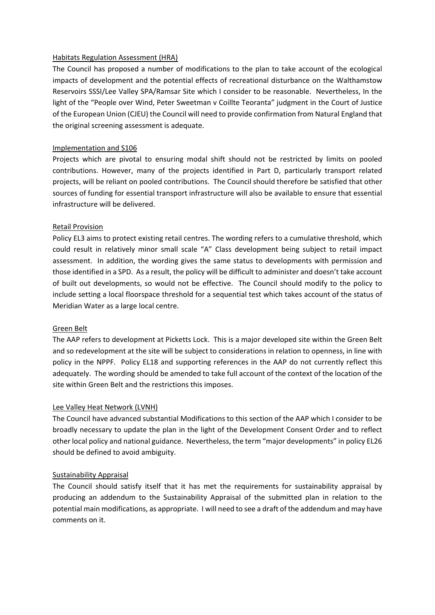#### Habitats Regulation Assessment (HRA)

The Council has proposed a number of modifications to the plan to take account of the ecological impacts of development and the potential effects of recreational disturbance on the Walthamstow Reservoirs SSSI/Lee Valley SPA/Ramsar Site which I consider to be reasonable. Nevertheless, In the light of the "People over Wind, Peter Sweetman v Coillte Teoranta" judgment in the Court of Justice of the European Union (CJEU) the Council will need to provide confirmation from Natural England that the original screening assessment is adequate.

#### Implementation and S106

Projects which are pivotal to ensuring modal shift should not be restricted by limits on pooled contributions. However, many of the projects identified in Part D, particularly transport related projects, will be reliant on pooled contributions. The Council should therefore be satisfied that other sources of funding for essential transport infrastructure will also be available to ensure that essential infrastructure will be delivered.

#### Retail Provision

Policy EL3 aims to protect existing retail centres. The wording refers to a cumulative threshold, which could result in relatively minor small scale "A" Class development being subject to retail impact assessment. In addition, the wording gives the same status to developments with permission and those identified in a SPD. As a result, the policy will be difficult to administer and doesn't take account of built out developments, so would not be effective. The Council should modify to the policy to include setting a local floorspace threshold for a sequential test which takes account of the status of Meridian Water as a large local centre.

#### Green Belt

The AAP refers to development at Picketts Lock. This is a major developed site within the Green Belt and so redevelopment at the site will be subject to considerations in relation to openness, in line with policy in the NPPF. Policy EL18 and supporting references in the AAP do not currently reflect this adequately. The wording should be amended to take full account of the context of the location of the site within Green Belt and the restrictions this imposes.

#### Lee Valley Heat Network (LVNH)

The Council have advanced substantial Modifications to this section of the AAP which I consider to be broadly necessary to update the plan in the light of the Development Consent Order and to reflect other local policy and national guidance. Nevertheless, the term "major developments" in policy EL26 should be defined to avoid ambiguity.

#### Sustainability Appraisal

The Council should satisfy itself that it has met the requirements for sustainability appraisal by producing an addendum to the Sustainability Appraisal of the submitted plan in relation to the potential main modifications, as appropriate. I will need to see a draft of the addendum and may have comments on it.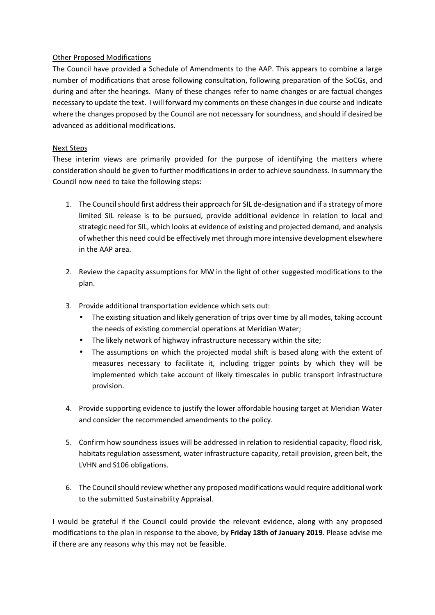# Other Proposed Modifications

The Council have provided a Schedule of Amendments to the AAP. This appears to combine a large number of modifications that arose following consultation, following preparation of the SoCGs, and during and after the hearings. Many of these changes refer to name changes or are factual changes necessary to update the text. I will forward my comments on these changes in due course and indicate where the changes proposed by the Council are not necessary for soundness, and should if desired be advanced as additional modifications.

# Next Steps

These interim views are primarily provided for the purpose of identifying the matters where consideration should be given to further modifications in order to achieve soundness. In summary the Council now need to take the following steps:

- 1. The Council should first address their approach for SIL de-designation and if a strategy of more limited SIL release is to be pursued, provide additional evidence in relation to local and strategic need for SIL, which looks at evidence of existing and projected demand, and analysis of whether this need could be effectively met through more intensive development elsewhere in the AAP area.
- 2. Review the capacity assumptions for MW in the light of other suggested modifications to the plan.
- 3. Provide additional transportation evidence which sets out:
	- The existing situation and likely generation of trips over time by all modes, taking account the needs of existing commercial operations at Meridian Water;
	- The likely network of highway infrastructure necessary within the site;
	- The assumptions on which the projected modal shift is based along with the extent of measures necessary to facilitate it, including trigger points by which they will be implemented which take account of likely timescales in public transport infrastructure provision.
- 4. Provide supporting evidence to justify the lower affordable housing target at Meridian Water and consider the recommended amendments to the policy.
- 5. Confirm how soundness issues will be addressed in relation to residential capacity, flood risk, habitats regulation assessment, water infrastructure capacity, retail provision, green belt, the LVHN and S106 obligations.
- 6. The Council should review whether any proposed modifications would require additional work to the submitted Sustainability Appraisal.

I would be grateful if the Council could provide the relevant evidence, along with any proposed modifications to the plan in response to the above, by **Friday 18th of January 2019**. Please advise me if there are any reasons why this may not be feasible.